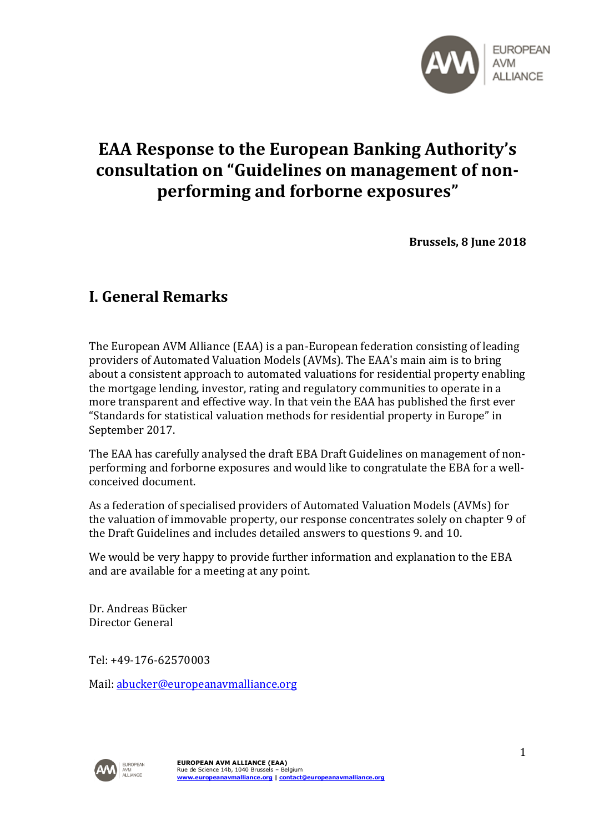

# **EAA Response to the European Banking Authority's consultation on "Guidelines on management of nonperforming and forborne exposures"**

**Brussels, 8 June 2018**

## **I. General Remarks**

The European AVM Alliance (EAA) is a pan-European federation consisting of leading providers of Automated Valuation Models (AVMs). The EAA's main aim is to bring about a consistent approach to automated valuations for residential property enabling the mortgage lending, investor, rating and regulatory communities to operate in a more transparent and effective way. In that vein the EAA has published the first ever "Standards for statistical valuation methods for residential property in Europe" in September 2017.

The EAA has carefully analysed the draft EBA Draft Guidelines on management of nonperforming and forborne exposures and would like to congratulate the EBA for a wellconceived document.

As a federation of specialised providers of Automated Valuation Models (AVMs) for the valuation of immovable property, our response concentrates solely on chapter 9 of the Draft Guidelines and includes detailed answers to questions 9. and 10.

We would be very happy to provide further information and explanation to the EBA and are available for a meeting at any point.

Dr. Andreas Bücker Director General

Tel: +49-176-62570003

Mail: [abucker@europeanavmalliance.org](mailto:abucker@europeanavmalliance.org)

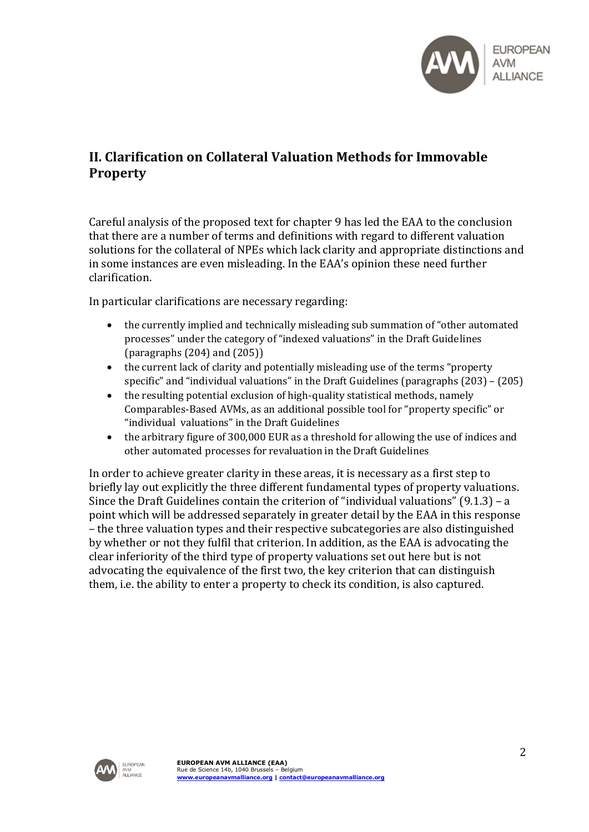

## **II. Clarification on Collateral Valuation Methods for Immovable Property**

Careful analysis of the proposed text for chapter 9 has led the EAA to the conclusion that there are a number of terms and definitions with regard to different valuation solutions for the collateral of NPEs which lack clarity and appropriate distinctions and in some instances are even misleading. In the EAA's opinion these need further clarification.

In particular clarifications are necessary regarding:

- the currently implied and technically misleading sub summation of "other automated processes" under the category of "indexed valuations" in the Draft Guidelines (paragraphs (204) and (205))
- the current lack of clarity and potentially misleading use of the terms "property specific" and "individual valuations" in the Draft Guidelines (paragraphs (203) – (205)
- the resulting potential exclusion of high-quality statistical methods, namely Comparables-Based AVMs, as an additional possible tool for "property specific" or "individual valuations" in the Draft Guidelines
- the arbitrary figure of 300,000 EUR as a threshold for allowing the use of indices and other automated processes for revaluation in the Draft Guidelines

In order to achieve greater clarity in these areas, it is necessary as a first step to briefly lay out explicitly the three different fundamental types of property valuations. Since the Draft Guidelines contain the criterion of "individual valuations" (9.1.3) – a point which will be addressed separately in greater detail by the EAA in this response – the three valuation types and their respective subcategories are also distinguished by whether or not they fulfil that criterion. In addition, as the EAA is advocating the clear inferiority of the third type of property valuations set out here but is not advocating the equivalence of the first two, the key criterion that can distinguish them, i.e. the ability to enter a property to check its condition, is also captured.

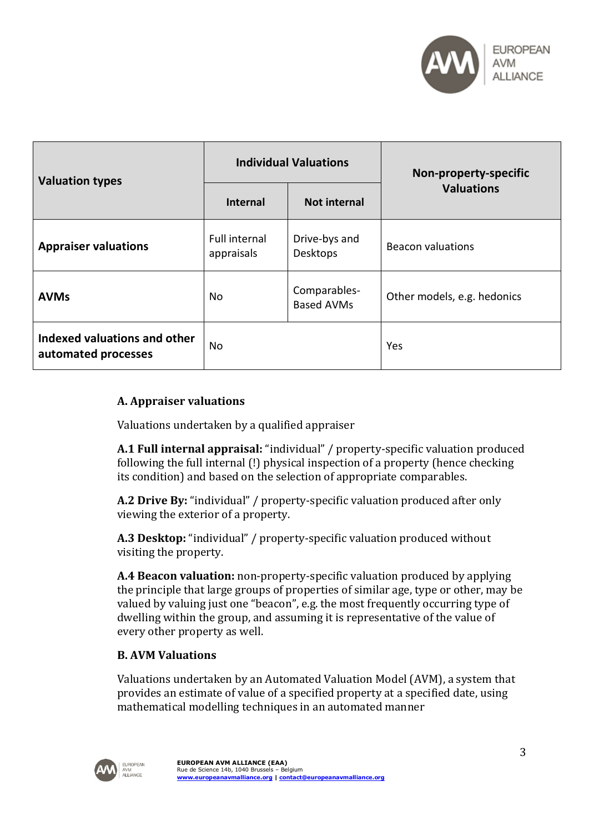

| <b>Valuation types</b>                              | <b>Individual Valuations</b>       |                                   | Non-property-specific       |
|-----------------------------------------------------|------------------------------------|-----------------------------------|-----------------------------|
|                                                     | <b>Internal</b>                    | <b>Not internal</b>               | <b>Valuations</b>           |
| <b>Appraiser valuations</b>                         | <b>Full internal</b><br>appraisals | Drive-bys and<br>Desktops         | <b>Beacon valuations</b>    |
| <b>AVMs</b>                                         | <b>No</b>                          | Comparables-<br><b>Based AVMs</b> | Other models, e.g. hedonics |
| Indexed valuations and other<br>automated processes | <b>No</b>                          |                                   | Yes                         |

### **A. Appraiser valuations**

Valuations undertaken by a qualified appraiser

**A.1 Full internal appraisal:** "individual" / property-specific valuation produced following the full internal (!) physical inspection of a property (hence checking its condition) and based on the selection of appropriate comparables.

**A.2 Drive By:** "individual" / property-specific valuation produced after only viewing the exterior of a property.

**A.3 Desktop:** "individual" / property-specific valuation produced without visiting the property.

**A.4 Beacon valuation:** non-property-specific valuation produced by applying the principle that large groups of properties of similar age, type or other, may be valued by valuing just one "beacon", e.g. the most frequently occurring type of dwelling within the group, and assuming it is representative of the value of every other property as well.

#### **B. AVM Valuations**

Valuations undertaken by an Automated Valuation Model (AVM), a system that provides an estimate of value of a specified property at a specified date, using mathematical modelling techniques in an automated manner

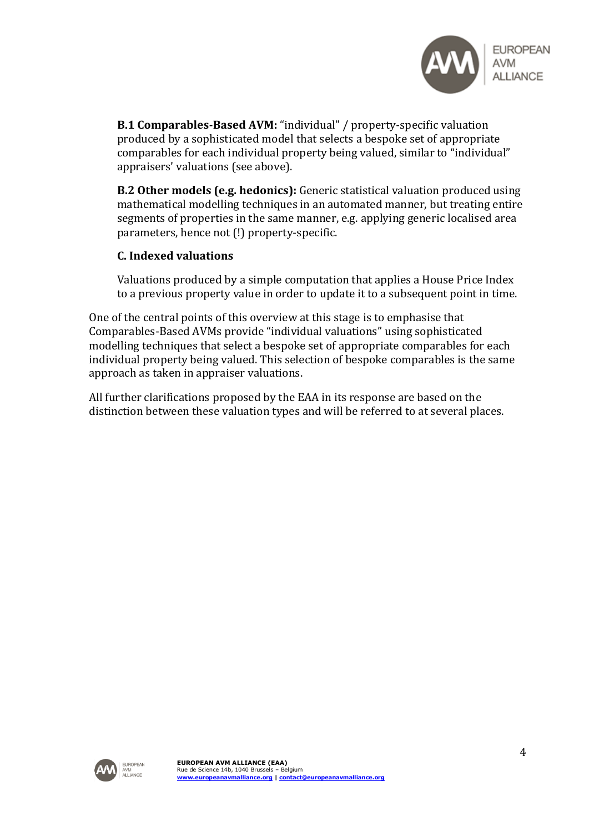

**B.1 Comparables-Based AVM:** "individual" / property-specific valuation produced by a sophisticated model that selects a bespoke set of appropriate comparables for each individual property being valued, similar to "individual" appraisers' valuations (see above).

**B.2 Other models (e.g. hedonics):** Generic statistical valuation produced using mathematical modelling techniques in an automated manner, but treating entire segments of properties in the same manner, e.g. applying generic localised area parameters, hence not (!) property-specific.

#### **C. Indexed valuations**

Valuations produced by a simple computation that applies a House Price Index to a previous property value in order to update it to a subsequent point in time.

One of the central points of this overview at this stage is to emphasise that Comparables-Based AVMs provide "individual valuations" using sophisticated modelling techniques that select a bespoke set of appropriate comparables for each individual property being valued. This selection of bespoke comparables is the same approach as taken in appraiser valuations.

All further clarifications proposed by the EAA in its response are based on the distinction between these valuation types and will be referred to at several places.

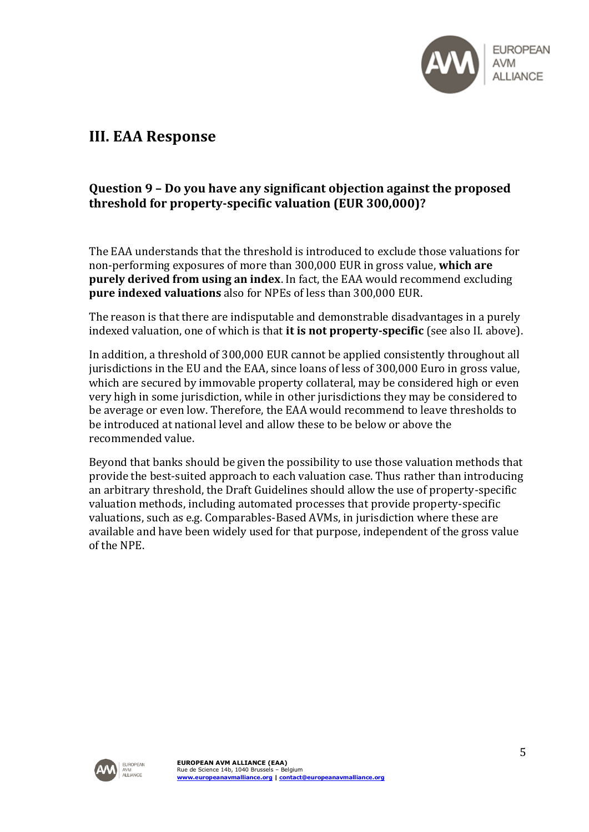

## **III. EAA Response**

## **Question 9 – Do you have any significant objection against the proposed threshold for property-specific valuation (EUR 300,000)?**

The EAA understands that the threshold is introduced to exclude those valuations for non-performing exposures of more than 300,000 EUR in gross value, **which are purely derived from using an index**. In fact, the EAA would recommend excluding **pure indexed valuations** also for NPEs of less than 300,000 EUR.

The reason is that there are indisputable and demonstrable disadvantages in a purely indexed valuation, one of which is that **it is not property-specific** (see also II. above).

In addition, a threshold of 300,000 EUR cannot be applied consistently throughout all jurisdictions in the EU and the EAA, since loans of less of 300,000 Euro in gross value, which are secured by immovable property collateral, may be considered high or even very high in some jurisdiction, while in other jurisdictions they may be considered to be average or even low. Therefore, the EAA would recommend to leave thresholds to be introduced at national level and allow these to be below or above the recommended value.

Beyond that banks should be given the possibility to use those valuation methods that provide the best-suited approach to each valuation case. Thus rather than introducing an arbitrary threshold, the Draft Guidelines should allow the use of property-specific valuation methods, including automated processes that provide property-specific valuations, such as e.g. Comparables-Based AVMs, in jurisdiction where these are available and have been widely used for that purpose, independent of the gross value of the NPE.

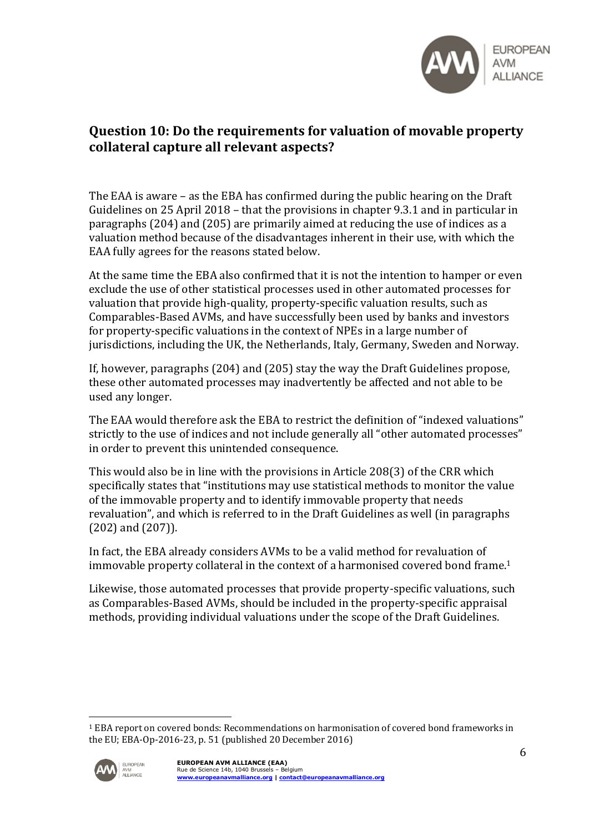

## **Question 10: Do the requirements for valuation of movable property collateral capture all relevant aspects?**

The EAA is aware – as the EBA has confirmed during the public hearing on the Draft Guidelines on 25 April 2018 – that the provisions in chapter 9.3.1 and in particular in paragraphs (204) and (205) are primarily aimed at reducing the use of indices as a valuation method because of the disadvantages inherent in their use, with which the EAA fully agrees for the reasons stated below.

At the same time the EBA also confirmed that it is not the intention to hamper or even exclude the use of other statistical processes used in other automated processes for valuation that provide high-quality, property-specific valuation results, such as Comparables-Based AVMs, and have successfully been used by banks and investors for property-specific valuations in the context of NPEs in a large number of jurisdictions, including the UK, the Netherlands, Italy, Germany, Sweden and Norway.

If, however, paragraphs (204) and (205) stay the way the Draft Guidelines propose, these other automated processes may inadvertently be affected and not able to be used any longer.

The EAA would therefore ask the EBA to restrict the definition of "indexed valuations" strictly to the use of indices and not include generally all "other automated processes" in order to prevent this unintended consequence.

This would also be in line with the provisions in Article 208(3) of the CRR which specifically states that "institutions may use statistical methods to monitor the value of the immovable property and to identify immovable property that needs revaluation", and which is referred to in the Draft Guidelines as well (in paragraphs (202) and (207)).

In fact, the EBA already considers AVMs to be a valid method for revaluation of immovable property collateral in the context of a harmonised covered bond frame.<sup>1</sup>

Likewise, those automated processes that provide property-specific valuations, such as Comparables-Based AVMs, should be included in the property-specific appraisal methods, providing individual valuations under the scope of the Draft Guidelines.

<sup>&</sup>lt;sup>1</sup> EBA report on covered bonds: Recommendations on harmonisation of covered bond frameworks in the EU; EBA-Op-2016-23, p. 51 (published 20 December 2016)



<u>.</u>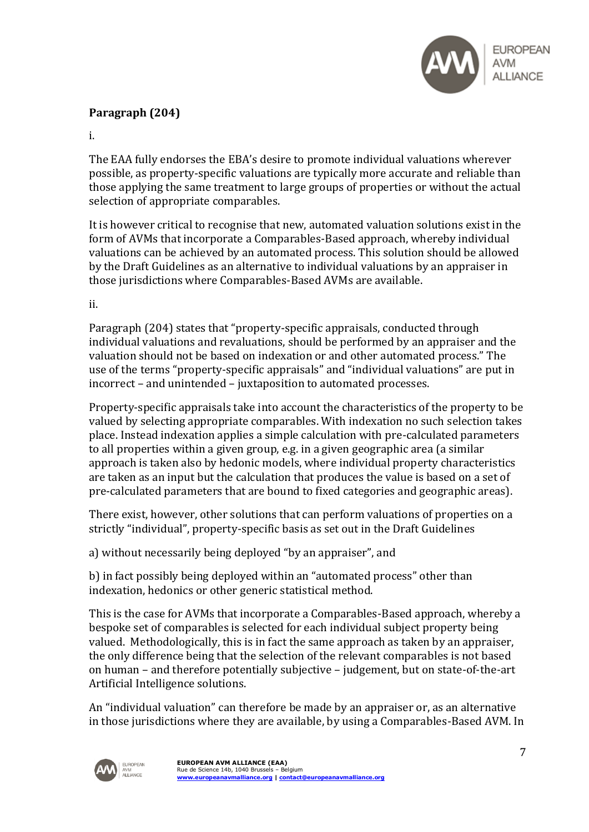

## **Paragraph (204)**

i.

The EAA fully endorses the EBA's desire to promote individual valuations wherever possible, as property-specific valuations are typically more accurate and reliable than those applying the same treatment to large groups of properties or without the actual selection of appropriate comparables.

It is however critical to recognise that new, automated valuation solutions exist in the form of AVMs that incorporate a Comparables-Based approach, whereby individual valuations can be achieved by an automated process. This solution should be allowed by the Draft Guidelines as an alternative to individual valuations by an appraiser in those jurisdictions where Comparables-Based AVMs are available.

ii.

Paragraph (204) states that "property-specific appraisals, conducted through individual valuations and revaluations, should be performed by an appraiser and the valuation should not be based on indexation or and other automated process." The use of the terms "property-specific appraisals" and "individual valuations" are put in incorrect – and unintended – juxtaposition to automated processes.

Property-specific appraisals take into account the characteristics of the property to be valued by selecting appropriate comparables. With indexation no such selection takes place. Instead indexation applies a simple calculation with pre-calculated parameters to all properties within a given group, e.g. in a given geographic area (a similar approach is taken also by hedonic models, where individual property characteristics are taken as an input but the calculation that produces the value is based on a set of pre-calculated parameters that are bound to fixed categories and geographic areas).

There exist, however, other solutions that can perform valuations of properties on a strictly "individual", property-specific basis as set out in the Draft Guidelines

a) without necessarily being deployed "by an appraiser", and

b) in fact possibly being deployed within an "automated process" other than indexation, hedonics or other generic statistical method.

This is the case for AVMs that incorporate a Comparables-Based approach, whereby a bespoke set of comparables is selected for each individual subject property being valued. Methodologically, this is in fact the same approach as taken by an appraiser, the only difference being that the selection of the relevant comparables is not based on human – and therefore potentially subjective – judgement, but on state-of-the-art Artificial Intelligence solutions.

An "individual valuation" can therefore be made by an appraiser or, as an alternative in those jurisdictions where they are available, by using a Comparables-Based AVM. In

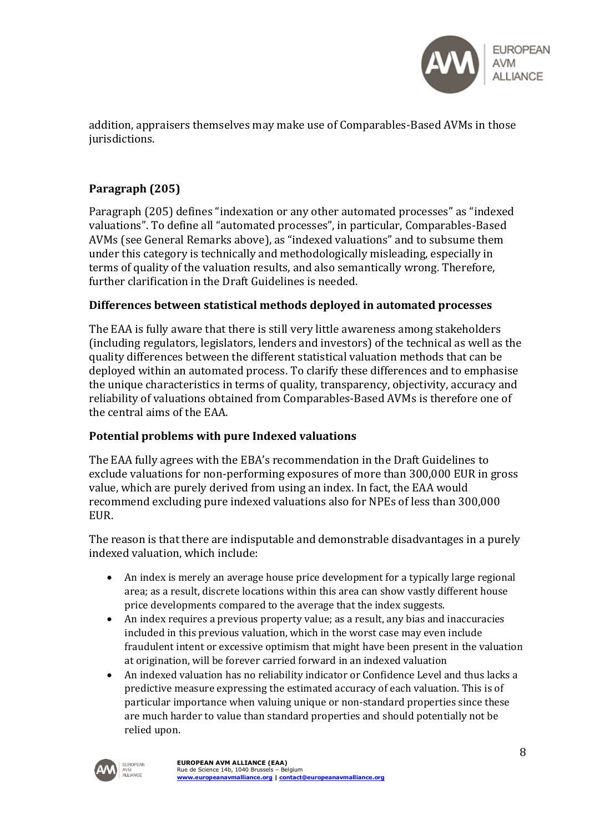

addition, appraisers themselves may make use of Comparables-Based AVMs in those jurisdictions.

## **Paragraph (205)**

Paragraph (205) defines "indexation or any other automated processes" as "indexed valuations". To define all "automated processes", in particular, Comparables-Based AVMs (see General Remarks above), as "indexed valuations" and to subsume them under this category is technically and methodologically misleading, especially in terms of quality of the valuation results, and also semantically wrong. Therefore, further clarification in the Draft Guidelines is needed.

#### **Differences between statistical methods deployed in automated processes**

The EAA is fully aware that there is still very little awareness among stakeholders (including regulators, legislators, lenders and investors) of the technical as well as the quality differences between the different statistical valuation methods that can be deployed within an automated process. To clarify these differences and to emphasise the unique characteristics in terms of quality, transparency, objectivity, accuracy and reliability of valuations obtained from Comparables-Based AVMs is therefore one of the central aims of the EAA.

#### **Potential problems with pure Indexed valuations**

The EAA fully agrees with the EBA's recommendation in the Draft Guidelines to exclude valuations for non-performing exposures of more than 300,000 EUR in gross value, which are purely derived from using an index. In fact, the EAA would recommend excluding pure indexed valuations also for NPEs of less than 300,000 EUR.

The reason is that there are indisputable and demonstrable disadvantages in a purely indexed valuation, which include:

- An index is merely an average house price development for a typically large regional area; as a result, discrete locations within this area can show vastly different house price developments compared to the average that the index suggests.
- An index requires a previous property value; as a result, any bias and inaccuracies included in this previous valuation, which in the worst case may even include fraudulent intent or excessive optimism that might have been present in the valuation at origination, will be forever carried forward in an indexed valuation
- An indexed valuation has no reliability indicator or Confidence Level and thus lacks a predictive measure expressing the estimated accuracy of each valuation. This is of particular importance when valuing unique or non-standard properties since these are much harder to value than standard properties and should potentially not be relied upon.